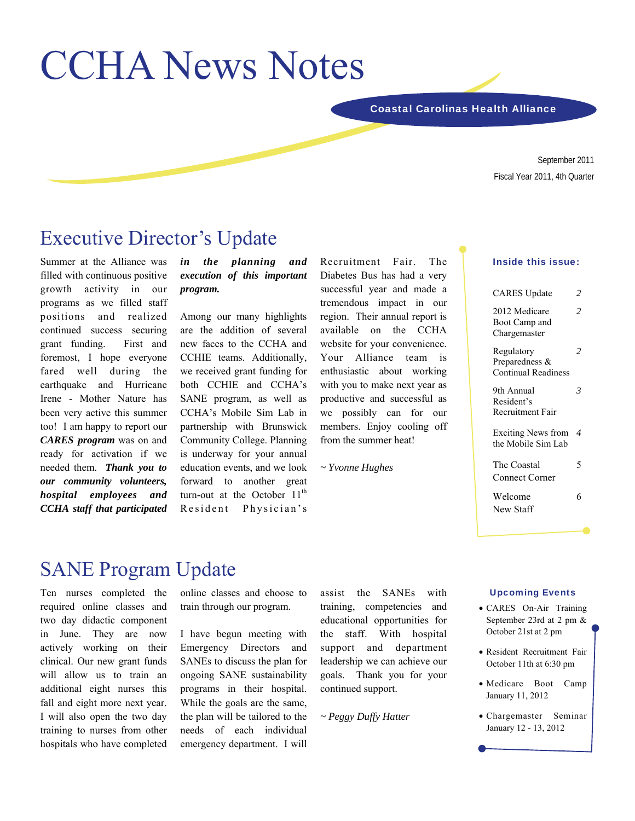# CCHA News Notes

Coastal Carolinas Health Alliance

September 2011 Fiscal Year 2011, 4th Quarter

## Executive Director's Update

Summer at the Alliance was filled with continuous positive growth activity in our programs as we filled staff positions and realized continued success securing grant funding. First and foremost, I hope everyone fared well during the earthquake and Hurricane Irene - Mother Nature has been very active this summer too! I am happy to report our *CARES program* was on and ready for activation if we needed them. *Thank you to our community volunteers, hospital employees and CCHA staff that participated* 

#### *in the planning and execution of this important program.*

Among our many highlights are the addition of several new faces to the CCHA and CCHIE teams. Additionally, we received grant funding for both CCHIE and CCHA's SANE program, as well as CCHA's Mobile Sim Lab in partnership with Brunswick Community College. Planning is underway for your annual education events, and we look forward to another great turn-out at the October  $11<sup>th</sup>$ Resident Physician's

Recruitment Fair. The Diabetes Bus has had a very successful year and made a tremendous impact in our region. Their annual report is available on the CCHA website for your convenience. Your Alliance team is enthusiastic about working with you to make next year as productive and successful as we possibly can for our members. Enjoy cooling off from the summer heat!

*~ Yvonne Hughes* 

#### Inside this issue:

| <b>CARES</b> Update<br>2<br>2012 Medicare<br>2<br>Boot Camp and<br>Chargemaster<br>2<br>Regulatory<br>Preparedness &<br><b>Continual Readiness</b><br>9th Annual<br>3<br>Resident's<br>Recruitment Fair<br><b>Exciting News from</b><br>4<br>the Mobile Sim Lab<br>The Coastal<br>5<br><b>Connect Corner</b><br>Welcome<br>6<br>New Staff |  |
|-------------------------------------------------------------------------------------------------------------------------------------------------------------------------------------------------------------------------------------------------------------------------------------------------------------------------------------------|--|
|                                                                                                                                                                                                                                                                                                                                           |  |
|                                                                                                                                                                                                                                                                                                                                           |  |
|                                                                                                                                                                                                                                                                                                                                           |  |
|                                                                                                                                                                                                                                                                                                                                           |  |
|                                                                                                                                                                                                                                                                                                                                           |  |
|                                                                                                                                                                                                                                                                                                                                           |  |
|                                                                                                                                                                                                                                                                                                                                           |  |
|                                                                                                                                                                                                                                                                                                                                           |  |

# SANE Program Update

Ten nurses completed the required online classes and two day didactic component in June. They are now actively working on their clinical. Our new grant funds will allow us to train an additional eight nurses this fall and eight more next year. I will also open the two day training to nurses from other hospitals who have completed online classes and choose to train through our program.

I have begun meeting with Emergency Directors and SANEs to discuss the plan for ongoing SANE sustainability programs in their hospital. While the goals are the same, the plan will be tailored to the needs of each individual emergency department. I will

assist the SANEs with training, competencies and educational opportunities for the staff. With hospital support and department leadership we can achieve our goals. Thank you for your continued support.

*~ Peggy Duffy Hatter* 

#### Upcoming Events

- CARES On-Air Training September 23rd at 2 pm & October 21st at 2 pm
- Resident Recruitment Fair October 11th at 6:30 pm
- Medicare Boot Camp January 11, 2012
- Chargemaster Seminar January 12 - 13, 2012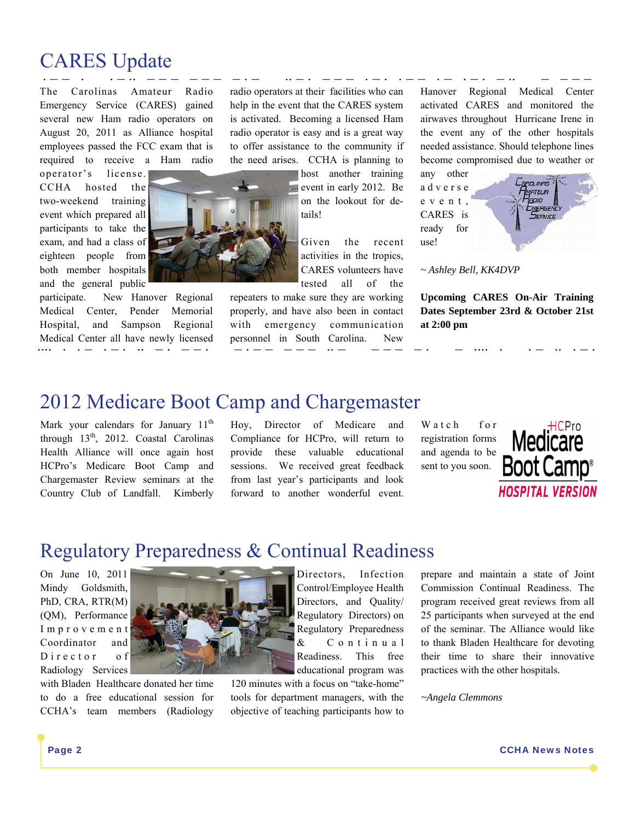# CARES Update

· − − · · − ·· − − − − − − − · − ·· − · − − − · − · · − − · − · − · − ·· − − − − The Carolinas Amateur Radio Emergency Service (CARES) gained several new Ham radio operators on August 20, 2011 as Alliance hospital employees passed the FCC exam that is required to receive a Ham radio

operator's license. CCHA hosted the two-weekend training event which prepared all participants to take the exam, and had a class of eighteen people from both member hospitals and the general public

participate. New Hanover Regional Medical Center, Pender Memorial Hospital, and Sampson Regional Medical Center all have newly licensed ···· · · − · − · ·· − · − − · − · − − − − − ·· − − − − − · − ···· · · − ·· · − ·

radio operators at their facilities who can help in the event that the CARES system is activated. Becoming a licensed Ham radio operator is easy and is a great way to offer assistance to the community if the need arises. CCHA is planning to

> host another training event in early 2012. Be on the lookout for details!

Given the recent activities in the tropics, CARES volunteers have tested all of the

repeaters to make sure they are working properly, and have also been in contact with emergency communication personnel in South Carolina. New

Hanover Regional Medical Center activated CARES and monitored the airwaves throughout Hurricane Irene in the event any of the other hospitals needed assistance. Should telephone lines become compromised due to weather or

any other a d v e r s e e v e n t , CARES is ready for use!



*~ Ashley Bell, KK4DVP* 

**Upcoming CARES On-Air Training Dates September 23rd & October 21st at 2:00 pm** 

# 2012 Medicare Boot Camp and Chargemaster

Mark your calendars for January  $11<sup>th</sup>$ through  $13<sup>th</sup>$ , 2012. Coastal Carolinas Health Alliance will once again host HCPro's Medicare Boot Camp and Chargemaster Review seminars at the Country Club of Landfall. Kimberly Hoy, Director of Medicare and Compliance for HCPro, will return to provide these valuable educational sessions. We received great feedback from last year's participants and look forward to another wonderful event.

Watch for registration forms and agenda to be sent to you soon.



## Regulatory Preparedness & Continual Readiness

On June 10, 2011 Mindy Goldsmith, PhD, CRA, RTR(M) (QM), Performance I m p r o v e m e n t Coordinator and D i r e c t o r o f Radiology Services

with Bladen Healthcare donated her time to do a free educational session for CCHA's team members (Radiology



120 minutes with a focus on "take-home" tools for department managers, with the objective of teaching participants how to prepare and maintain a state of Joint Commission Continual Readiness. The program received great reviews from all 25 participants when surveyed at the end of the seminar. The Alliance would like to thank Bladen Healthcare for devoting their time to share their innovative practices with the other hospitals.

*~Angela Clemmons*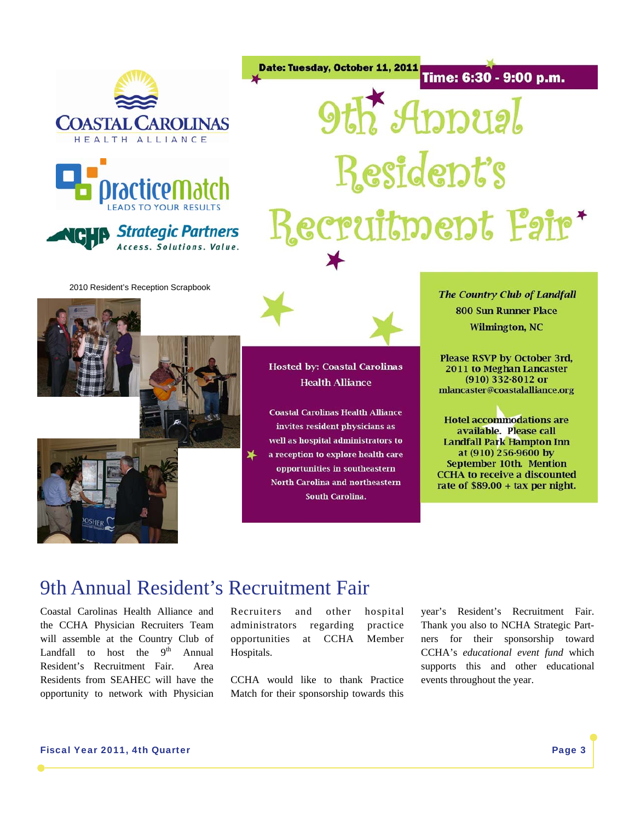





Date: Tuesday, October 11, 2011<br>Time: 6:30 - 9:00 p.m. **9th Appual** Resident's Recruitment Fair\*

2010 Resident's Reception Scrapbook



**Hosted by: Coastal Carolinas Health Alliance** 

**Coastal Carolinas Health Alliance** invites resident physicians as well as hospital administrators to a reception to explore health care opportunities in southeastern **North Carolina and northeastern South Carolina.** 

**The Country Club of Landfall 800 Sun Runner Place Wilmington, NC** 

**Please RSVP by October 3rd,** 2011 to Meghan Lancaster  $(910)$  332-8012 or mlancaster@coastalalliance.org

**Hotel accommodations are** available. Please call **Landfall Park Hampton Inn** at (910) 256-9600 by September 10th. Mention **CCHA** to receive a discounted rate of  $$89.00 + tax$  per night.

## 9th Annual Resident's Recruitment Fair

⊻⊾

Coastal Carolinas Health Alliance and the CCHA Physician Recruiters Team will assemble at the Country Club of Landfall to host the  $9<sup>th</sup>$  Annual Resident's Recruitment Fair. Area Residents from SEAHEC will have the opportunity to network with Physician

OSHER<sup>(</sup>

Recruiters and other hospital administrators regarding practice opportunities at CCHA Member Hospitals.

CCHA would like to thank Practice Match for their sponsorship towards this year's Resident's Recruitment Fair. Thank you also to NCHA Strategic Partners for their sponsorship toward CCHA's *educational event fund* which supports this and other educational events throughout the year.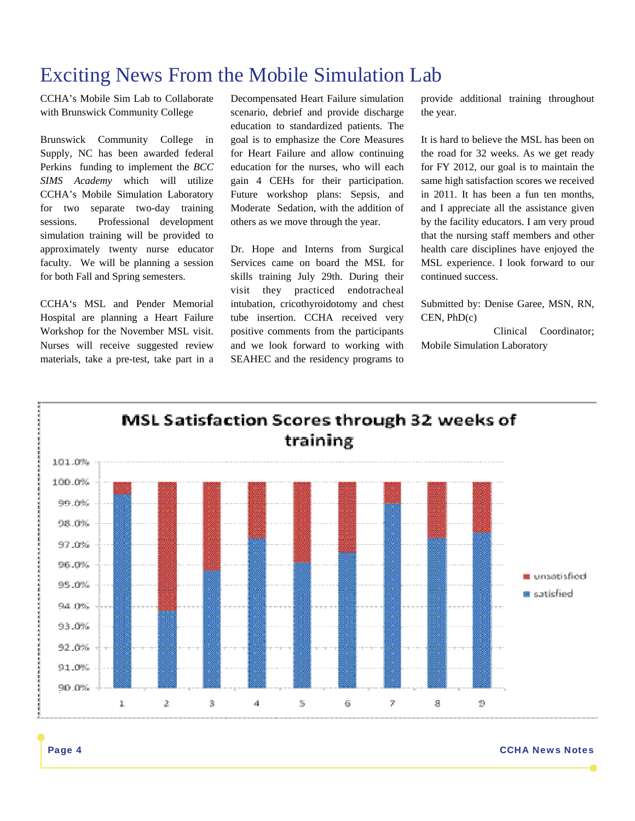# Exciting News From the Mobile Simulation Lab

CCHA's Mobile Sim Lab to Collaborate with Brunswick Community College

Brunswick Community College in Supply, NC has been awarded federal Perkins funding to implement the *BCC SIMS Academy* which will utilize CCHA's Mobile Simulation Laboratory for two separate two-day training sessions. Professional development simulation training will be provided to approximately twenty nurse educator faculty. We will be planning a session for both Fall and Spring semesters.

CCHA's MSL and Pender Memorial Hospital are planning a Heart Failure Workshop for the November MSL visit. Nurses will receive suggested review materials, take a pre-test, take part in a Decompensated Heart Failure simulation scenario, debrief and provide discharge education to standardized patients. The goal is to emphasize the Core Measures for Heart Failure and allow continuing education for the nurses, who will each gain 4 CEHs for their participation. Future workshop plans: Sepsis, and Moderate Sedation, with the addition of others as we move through the year.

Dr. Hope and Interns from Surgical Services came on board the MSL for skills training July 29th. During their visit they practiced endotracheal intubation, cricothyroidotomy and chest tube insertion. CCHA received very positive comments from the participants and we look forward to working with SEAHEC and the residency programs to

provide additional training throughout the year.

It is hard to believe the MSL has been on the road for 32 weeks. As we get ready for FY 2012, our goal is to maintain the same high satisfaction scores we received in 2011. It has been a fun ten months, and I appreciate all the assistance given by the facility educators. I am very proud that the nursing staff members and other health care disciplines have enjoyed the MSL experience. I look forward to our continued success.

Submitted by: Denise Garee, MSN, RN, CEN, PhD(c)

 Clinical Coordinator; Mobile Simulation Laboratory

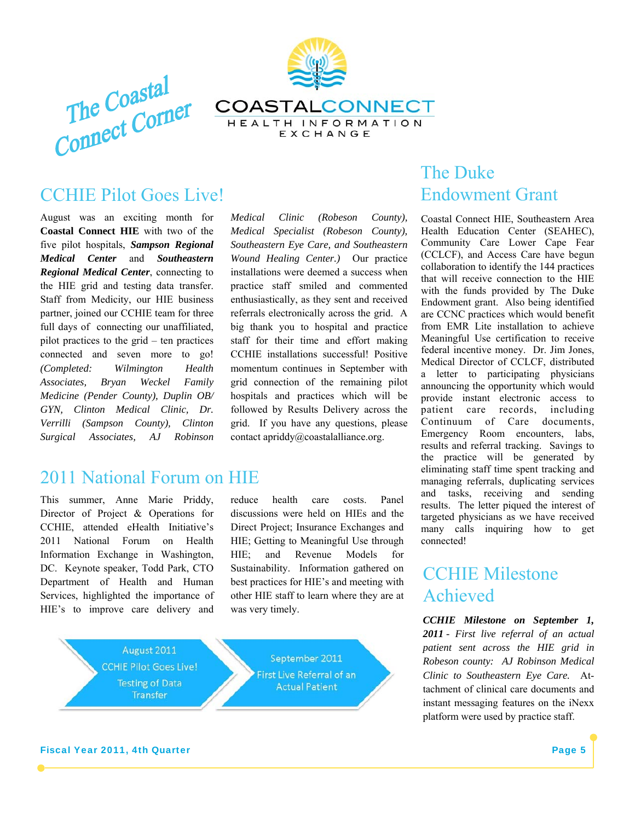



## CCHIE Pilot Goes Live!

August was an exciting month for **Coastal Connect HIE** with two of the five pilot hospitals, *Sampson Regional Medical Center* and *Southeastern Regional Medical Center*, connecting to the HIE grid and testing data transfer. Staff from Medicity, our HIE business partner, joined our CCHIE team for three full days of connecting our unaffiliated, pilot practices to the grid – ten practices connected and seven more to go! *(Completed: Wilmington Health Associates, Bryan Weckel Family Medicine (Pender County), Duplin OB/ GYN, Clinton Medical Clinic, Dr. Verrilli (Sampson County), Clinton Surgical Associates, AJ Robinson* 

## 2011 National Forum on HIE

This summer, Anne Marie Priddy, Director of Project & Operations for CCHIE, attended eHealth Initiative's 2011 National Forum on Health Information Exchange in Washington, DC. Keynote speaker, Todd Park, CTO Department of Health and Human Services, highlighted the importance of HIE's to improve care delivery and *Medical Clinic (Robeson County), Medical Specialist (Robeson County), Southeastern Eye Care, and Southeastern Wound Healing Center.)* Our practice installations were deemed a success when practice staff smiled and commented enthusiastically, as they sent and received referrals electronically across the grid. A big thank you to hospital and practice staff for their time and effort making CCHIE installations successful! Positive momentum continues in September with grid connection of the remaining pilot hospitals and practices which will be followed by Results Delivery across the grid. If you have any questions, please contact apriddy@coastalalliance.org.

reduce health care costs. Panel discussions were held on HIEs and the Direct Project; Insurance Exchanges and HIE; Getting to Meaningful Use through HIE; and Revenue Models for Sustainability. Information gathered on best practices for HIE's and meeting with other HIE staff to learn where they are at was very timely.



## The Duke Endowment Grant

Coastal Connect HIE, Southeastern Area Health Education Center (SEAHEC), Community Care Lower Cape Fear (CCLCF), and Access Care have begun collaboration to identify the 144 practices that will receive connection to the HIE with the funds provided by The Duke Endowment grant. Also being identified are CCNC practices which would benefit from EMR Lite installation to achieve Meaningful Use certification to receive federal incentive money. Dr. Jim Jones, Medical Director of CCLCF, distributed a letter to participating physicians announcing the opportunity which would provide instant electronic access to patient care records, including Continuum of Care documents, Emergency Room encounters, labs, results and referral tracking. Savings to the practice will be generated by eliminating staff time spent tracking and managing referrals, duplicating services and tasks, receiving and sending results. The letter piqued the interest of targeted physicians as we have received many calls inquiring how to get connected!

## CCHIE Milestone Achieved

*CCHIE Milestone on September 1, 2011 - First live referral of an actual patient sent across the HIE grid in Robeson county: AJ Robinson Medical Clinic to Southeastern Eye Care.* Attachment of clinical care documents and instant messaging features on the iNexx platform were used by practice staff.

#### **Fiscal Year 2011, 4th Quarter Page 5** and the set of the set of the set of the set of the set of the set of the set of the set of the set of the set of the set of the set of the set of the set of the set of the set of the